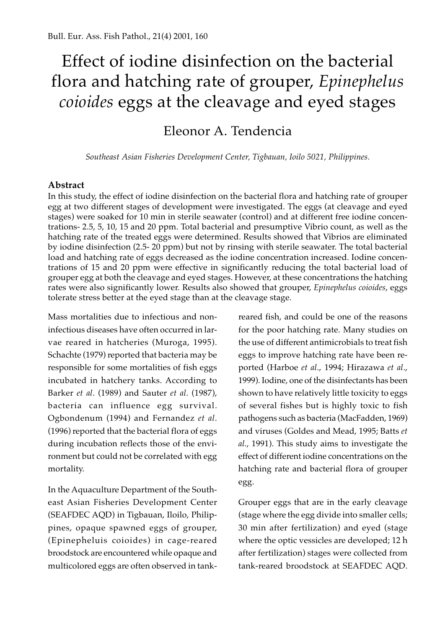# Effect of iodine disinfection on the bacterial flora and hatching rate of grouper, *Epinephelus coioides* eggs at the cleavage and eyed stages

## Eleonor A. Tendencia

*Southeast Asian Fisheries Development Center, Tigbauan, Ioilo 5021, Philippines.*

### **Abstract**

In this study, the effect of iodine disinfection on the bacterial flora and hatching rate of grouper egg at two different stages of development were investigated. The eggs (at cleavage and eyed stages) were soaked for 10 min in sterile seawater (control) and at different free iodine concentrations- 2.5, 5, 10, 15 and 20 ppm. Total bacterial and presumptive Vibrio count, as well as the hatching rate of the treated eggs were determined. Results showed that Vibrios are eliminated by iodine disinfection (2.5- 20 ppm) but not by rinsing with sterile seawater. The total bacterial load and hatching rate of eggs decreased as the iodine concentration increased. Iodine concentrations of 15 and 20 ppm were effective in significantly reducing the total bacterial load of grouper egg at both the cleavage and eyed stages. However, at these concentrations the hatching rates were also significantly lower. Results also showed that grouper, *Epinephelus coioides*, eggs tolerate stress better at the eyed stage than at the cleavage stage.

Mass mortalities due to infectious and noninfectious diseases have often occurred in larvae reared in hatcheries (Muroga, 1995). Schachte (1979) reported that bacteria may be responsible for some mortalities of fish eggs incubated in hatchery tanks. According to Barker *et al*. (1989) and Sauter *et al*. (1987), bacteria can influence egg survival. Ogbondenum (1994) and Fernandez *et al*. (1996) reported that the bacterial flora of eggs during incubation reflects those of the environment but could not be correlated with egg mortality.

In the Aquaculture Department of the Southeast Asian Fisheries Development Center (SEAFDEC AQD) in Tigbauan, Iloilo, Philippines, opaque spawned eggs of grouper, (Epinepheluis coioides) in cage-reared broodstock are encountered while opaque and multicolored eggs are often observed in tank-

reared fish, and could be one of the reasons for the poor hatching rate. Many studies on the use of different antimicrobials to treat fish eggs to improve hatching rate have been reported (Harboe *et al*., 1994; Hirazawa *et al*., 1999). Iodine, one of the disinfectants has been shown to have relatively little toxicity to eggs of several fishes but is highly toxic to fish pathogens such as bacteria (MacFadden, 1969) and viruses (Goldes and Mead, 1995; Batts *et al*., 1991). This study aims to investigate the effect of different iodine concentrations on the hatching rate and bacterial flora of grouper egg.

Grouper eggs that are in the early cleavage (stage where the egg divide into smaller cells; 30 min after fertilization) and eyed (stage where the optic vessicles are developed; 12 h after fertilization) stages were collected from tank-reared broodstock at SEAFDEC AQD.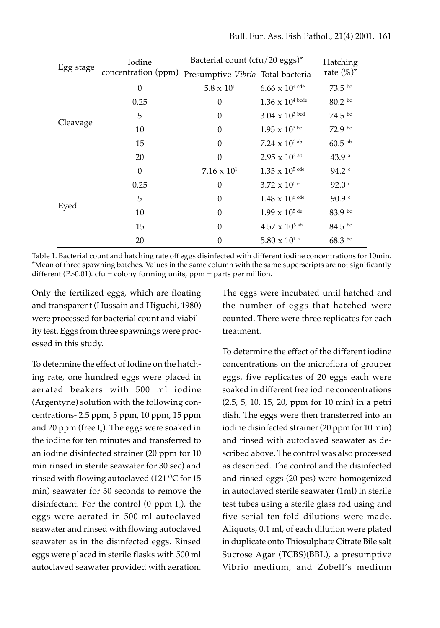| Egg stage | Iodine                                                | Bacterial count $(cfu/20$ eggs)* |                                  | Hatching             |
|-----------|-------------------------------------------------------|----------------------------------|----------------------------------|----------------------|
|           | concentration (ppm) Presumptive Vibrio Total bacteria |                                  |                                  | rate $(\%)^*$        |
| Cleavage  | $\theta$                                              | $5.8 \times 10^{1}$              | $6.66 \times 10^{4}$ cde         | $73.5~^{bc}$         |
|           | 0.25                                                  | $\theta$                         | $1.36 \times 10^{4}$ bcde        | 80.2 bc              |
|           | 5                                                     | $\theta$                         | $3.04 \times 10^{3}$ bcd         | $74.5~^{bc}$         |
|           | 10                                                    | $\Omega$                         | $1.95 \times 10^{3 \text{ bc}}$  | $72.9~{\rm bc}$      |
|           | 15                                                    | $\Omega$                         | 7.24 $\times$ 10 <sup>2 ab</sup> | $60.5$ <sup>ab</sup> |
|           | 20                                                    | $\theta$                         | $2.95 \times 10^{2}$ ab          | 43.9a                |
| Eyed      | $\Omega$                                              | $7.16 \times 10^{1}$             | $1.35 \times 10^{5}$ cde         | $94.2$ $c$           |
|           | 0.25                                                  | $\theta$                         | $3.72 \times 10^{5}$ e           | 92.0 <sup>c</sup>    |
|           | 5                                                     | $\theta$                         | $1.48 \times 10^{5}$ cde         | 90.9 <sup>c</sup>    |
|           | 10                                                    | $\theta$                         | $1.99 \times 10^{5}$ de          | 83.9 bc              |
|           | 15                                                    | $\theta$                         | $4.57 \times 10^{3}$ ab          | $84.5~^{bc}$         |
|           | 20                                                    | $\theta$                         | 5.80 $\times$ 10 <sup>1 a</sup>  | $68.3~{\rm^{bc}}$    |

Table 1. Bacterial count and hatching rate off eggs disinfected with different iodine concentrations for 10min. \*Mean of three spawning batches. Values in the same column with the same superscripts are not significantly different (P $>0.01$ ). cfu = colony forming units, ppm = parts per million.

Only the fertilized eggs, which are floating and transparent (Hussain and Higuchi, 1980) were processed for bacterial count and viability test. Eggs from three spawnings were processed in this study.

To determine the effect of Iodine on the hatching rate, one hundred eggs were placed in aerated beakers with 500 ml iodine (Argentyne) solution with the following concentrations- 2.5 ppm, 5 ppm, 10 ppm, 15 ppm and 20 ppm (free  $\text{I}_2$ ). The eggs were soaked in the iodine for ten minutes and transferred to an iodine disinfected strainer (20 ppm for 10 min rinsed in sterile seawater for 30 sec) and rinsed with flowing autoclaved (121  $\rm{^{\circ}C}$  for 15 min) seawater for 30 seconds to remove the disinfectant. For the control  $(0 \text{ ppm } I_2)$ , the eggs were aerated in 500 ml autoclaved seawater and rinsed with flowing autoclaved seawater as in the disinfected eggs. Rinsed eggs were placed in sterile flasks with 500 ml autoclaved seawater provided with aeration.

The eggs were incubated until hatched and the number of eggs that hatched were counted. There were three replicates for each treatment.

To determine the effect of the different iodine concentrations on the microflora of grouper eggs, five replicates of 20 eggs each were soaked in different free iodine concentrations (2.5, 5, 10, 15, 20, ppm for 10 min) in a petri dish. The eggs were then transferred into an iodine disinfected strainer (20 ppm for 10 min) and rinsed with autoclaved seawater as described above. The control was also processed as described. The control and the disinfected and rinsed eggs (20 pcs) were homogenized in autoclaved sterile seawater (1ml) in sterile test tubes using a sterile glass rod using and five serial ten-fold dilutions were made. Aliquots, 0.1 ml, of each dilution were plated in duplicate onto Thiosulphate Citrate Bile salt Sucrose Agar (TCBS)(BBL), a presumptive Vibrio medium, and Zobell's medium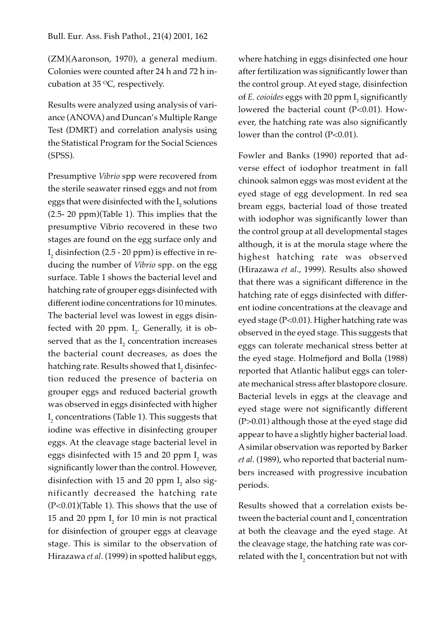(ZM)(Aaronson, 1970), a general medium. Colonies were counted after 24 h and 72 h incubation at 35  $\mathrm{^{\circ}C}$ , respectively.

Results were analyzed using analysis of variance (ANOVA) and Duncan's Multiple Range Test (DMRT) and correlation analysis using the Statistical Program for the Social Sciences (SPSS).

Presumptive *Vibrio* spp were recovered from the sterile seawater rinsed eggs and not from eggs that were disinfected with the  $\mathrm{I}_\mathrm{2}$  solutions (2.5- 20 ppm)(Table 1). This implies that the presumptive Vibrio recovered in these two stages are found on the egg surface only and  ${\rm I}_2$  disinfection (2.5 - 20 ppm) is effective in reducing the number of *Vibrio* spp. on the egg surface. Table 1 shows the bacterial level and hatching rate of grouper eggs disinfected with different iodine concentrations for 10 minutes. The bacterial level was lowest in eggs disinfected with 20 ppm.  $I_2$ . Generally, it is observed that as the  $I<sub>2</sub>$  concentration increases the bacterial count decreases, as does the hatching rate. Results showed that  $\mathrm{I}_\mathrm{2}$  disinfection reduced the presence of bacteria on grouper eggs and reduced bacterial growth was observed in eggs disinfected with higher  ${\rm I}_{{}_2}$  concentrations (Table 1). This suggests that iodine was effective in disinfecting grouper eggs. At the cleavage stage bacterial level in eggs disinfected with 15 and 20  $ppm$   $\rm I_{_2}$  was significantly lower than the control. However, disinfection with 15 and 20 ppm  $I<sub>2</sub>$  also significantly decreased the hatching rate (P<0.01)(Table 1). This shows that the use of 15 and 20 ppm  $I<sub>2</sub>$  for 10 min is not practical for disinfection of grouper eggs at cleavage stage. This is similar to the observation of Hirazawa *et al*. (1999) in spotted halibut eggs,

where hatching in eggs disinfected one hour after fertilization was significantly lower than the control group. At eyed stage, disinfection of *E. coioides* eggs with 20  $ppm$   $I_{2}$  significantly lowered the bacterial count (P<0.01). However, the hatching rate was also significantly lower than the control (P<0.01).

Fowler and Banks (1990) reported that adverse effect of iodophor treatment in fall chinook salmon eggs was most evident at the eyed stage of egg development. In red sea bream eggs, bacterial load of those treated with iodophor was significantly lower than the control group at all developmental stages although, it is at the morula stage where the highest hatching rate was observed (Hirazawa *et al*., 1999). Results also showed that there was a significant difference in the hatching rate of eggs disinfected with different iodine concentrations at the cleavage and eyed stage (P<0.01). Higher hatching rate was observed in the eyed stage. This suggests that eggs can tolerate mechanical stress better at the eyed stage. Holmefjord and Bolla (1988) reported that Atlantic halibut eggs can tolerate mechanical stress after blastopore closure. Bacterial levels in eggs at the cleavage and eyed stage were not significantly different (P>0.01) although those at the eyed stage did appear to have a slightly higher bacterial load. A similar observation was reported by Barker *et al*. (1989), who reported that bacterial numbers increased with progressive incubation periods.

Results showed that a correlation exists between the bacterial count and  $\mathrm{I}_\mathrm{2}$  concentration at both the cleavage and the eyed stage. At the cleavage stage, the hatching rate was correlated with the  $\mathrm{I}_\mathrm{2}$  concentration but not with